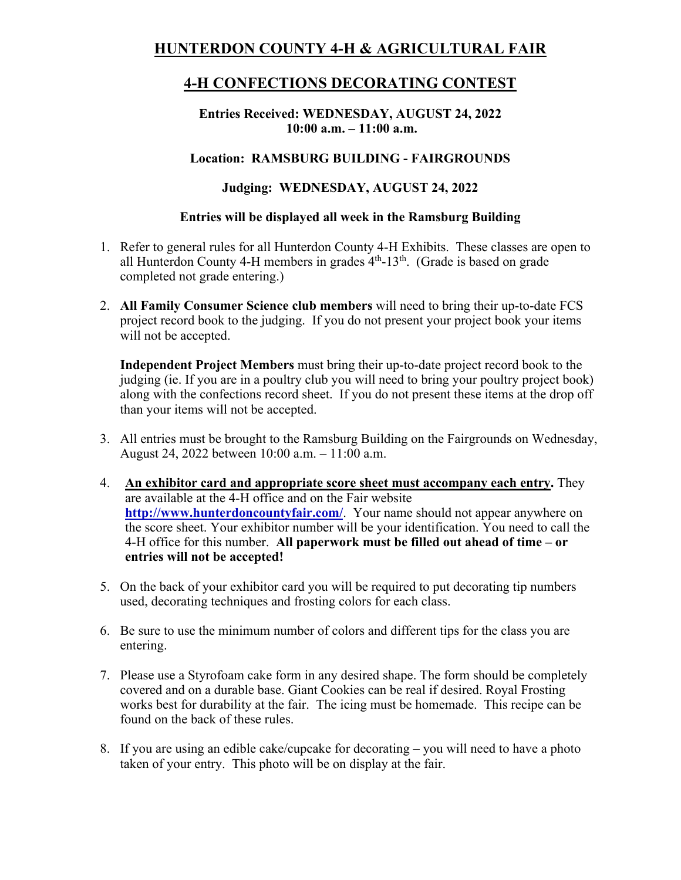# **HUNTERDON COUNTY 4-H & AGRICULTURAL FAIR**

# **4-H CONFECTIONS DECORATING CONTEST**

**Entries Received: WEDNESDAY, AUGUST 24, 2022 10:00 a.m. – 11:00 a.m.** 

### **Location: RAMSBURG BUILDING - FAIRGROUNDS**

## **Judging: WEDNESDAY, AUGUST 24, 2022**

#### **Entries will be displayed all week in the Ramsburg Building**

- 1. Refer to general rules for all Hunterdon County 4-H Exhibits. These classes are open to all Hunterdon County 4-H members in grades  $4<sup>th</sup>$ -13<sup>th</sup>. (Grade is based on grade completed not grade entering.)
- 2. **All Family Consumer Science club members** will need to bring their up-to-date FCS project record book to the judging. If you do not present your project book your items will not be accepted.

**Independent Project Members** must bring their up-to-date project record book to the judging (ie. If you are in a poultry club you will need to bring your poultry project book) along with the confections record sheet. If you do not present these items at the drop off than your items will not be accepted.

- 3. All entries must be brought to the Ramsburg Building on the Fairgrounds on Wednesday, August 24, 2022 between 10:00 a.m. – 11:00 a.m.
- 4. **An exhibitor card and appropriate score sheet must accompany each entry.** They are available at the 4-H office and on the Fair website **http://www.hunterdoncountyfair.com/**. Your name should not appear anywhere on the score sheet. Your exhibitor number will be your identification. You need to call the 4-H office for this number. **All paperwork must be filled out ahead of time – or entries will not be accepted!**
- 5. On the back of your exhibitor card you will be required to put decorating tip numbers used, decorating techniques and frosting colors for each class.
- 6. Be sure to use the minimum number of colors and different tips for the class you are entering.
- 7. Please use a Styrofoam cake form in any desired shape. The form should be completely covered and on a durable base. Giant Cookies can be real if desired. Royal Frosting works best for durability at the fair. The icing must be homemade. This recipe can be found on the back of these rules.
- 8. If you are using an edible cake/cupcake for decorating you will need to have a photo taken of your entry. This photo will be on display at the fair.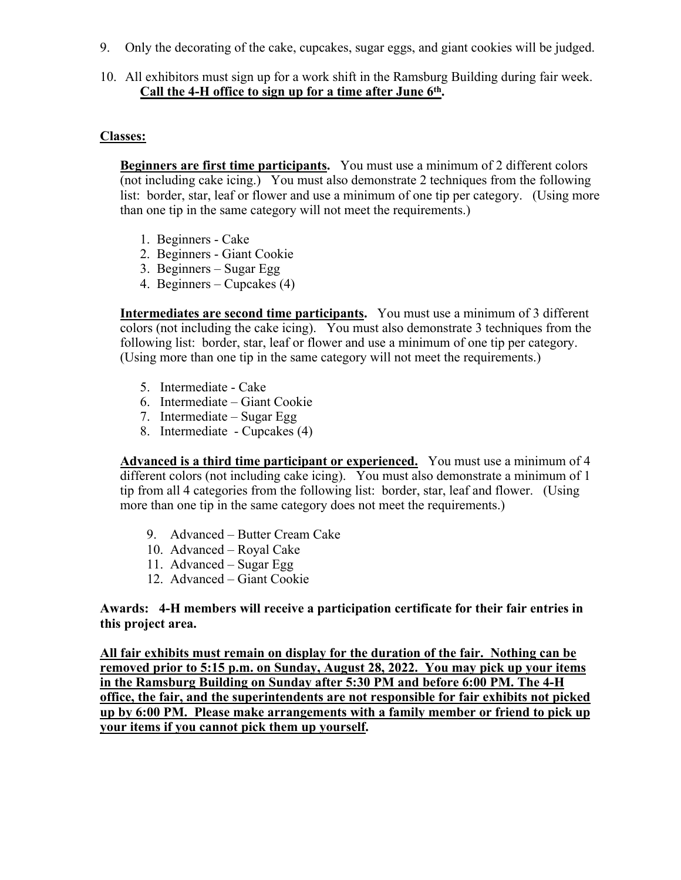- 9. Only the decorating of the cake, cupcakes, sugar eggs, and giant cookies will be judged.
- 10. All exhibitors must sign up for a work shift in the Ramsburg Building during fair week. **Call the 4-H office to sign up for a time after June 6th.**

### **Classes:**

**Beginners are first time participants.** You must use a minimum of 2 different colors (not including cake icing.) You must also demonstrate 2 techniques from the following list: border, star, leaf or flower and use a minimum of one tip per category. (Using more than one tip in the same category will not meet the requirements.)

- 1. Beginners Cake
- 2. Beginners Giant Cookie
- 3. Beginners Sugar Egg
- 4. Beginners Cupcakes (4)

**Intermediates are second time participants.** You must use a minimum of 3 different colors (not including the cake icing). You must also demonstrate 3 techniques from the following list: border, star, leaf or flower and use a minimum of one tip per category. (Using more than one tip in the same category will not meet the requirements.)

- 5. Intermediate Cake
- 6. Intermediate Giant Cookie
- 7. Intermediate Sugar Egg
- 8. Intermediate Cupcakes (4)

**Advanced is a third time participant or experienced.** You must use a minimum of 4 different colors (not including cake icing). You must also demonstrate a minimum of 1 tip from all 4 categories from the following list: border, star, leaf and flower. (Using more than one tip in the same category does not meet the requirements.)

- 9. Advanced Butter Cream Cake
- 10. Advanced Royal Cake
- 11. Advanced Sugar Egg
- 12. Advanced Giant Cookie

**Awards: 4-H members will receive a participation certificate for their fair entries in this project area.** 

**All fair exhibits must remain on display for the duration of the fair. Nothing can be removed prior to 5:15 p.m. on Sunday, August 28, 2022. You may pick up your items in the Ramsburg Building on Sunday after 5:30 PM and before 6:00 PM. The 4-H office, the fair, and the superintendents are not responsible for fair exhibits not picked up by 6:00 PM. Please make arrangements with a family member or friend to pick up your items if you cannot pick them up yourself.**